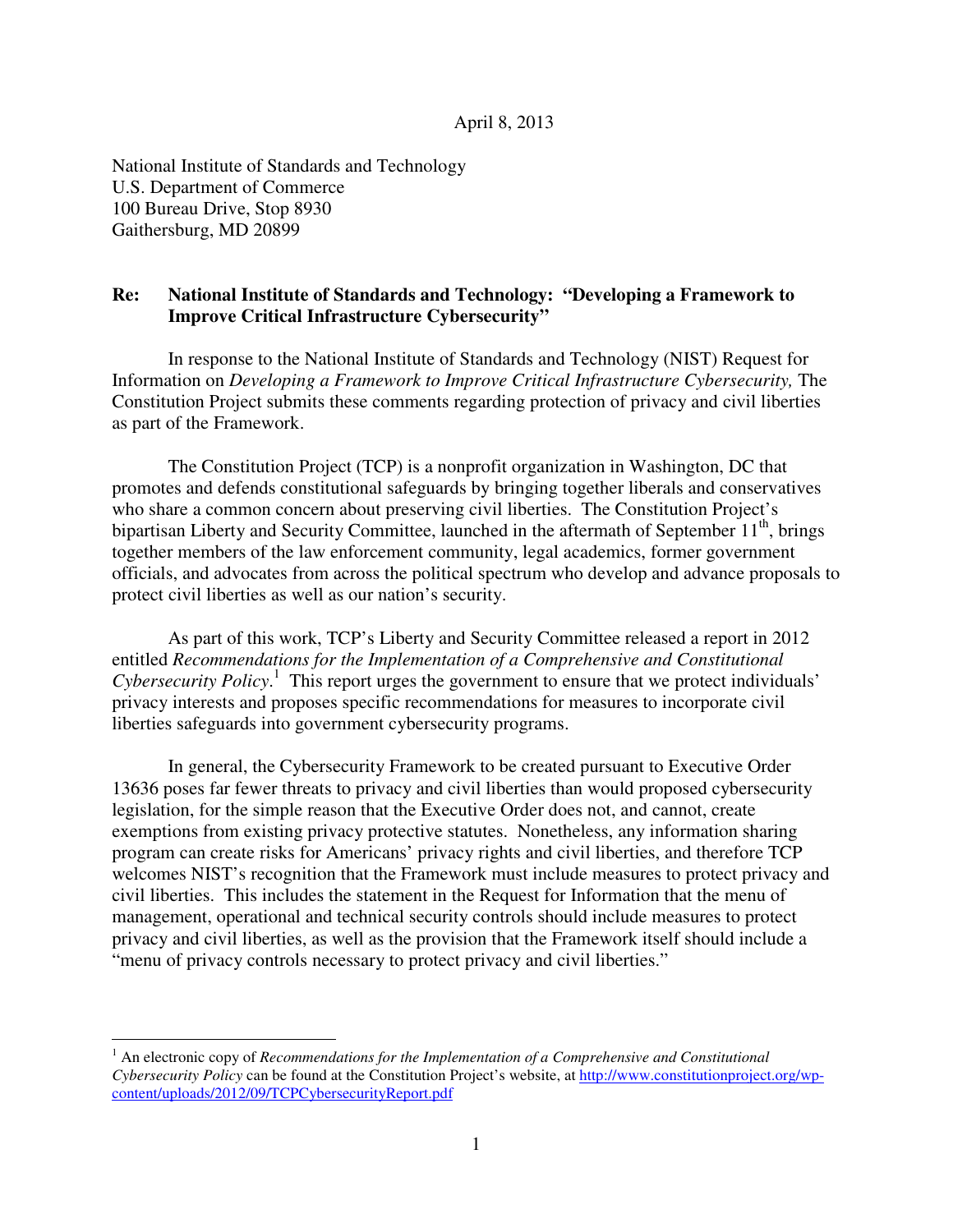## April 8, 2013

 National Institute of Standards and Technology U.S. Department of Commerce 100 Bureau Drive, Stop 8930 Gaithersburg, MD 20899

 $\overline{a}$ 

## **Re: Improve Critical Infrastructure Cybersecurity" National Institute of Standards and Technology: "Developing a Framework to**

 In response to the National Institute of Standards and Technology (NIST) Request for Information on *Developing a Framework to Improve Critical Infrastructure Cybersecurity*, The Constitution Project submits these comments regarding protection of privacy and civil liberties as part of the Framework.

 The Constitution Project (TCP) is a nonprofit organization in Washington, DC that promotes and defends constitutional safeguards by bringing together liberals and conservatives who share a common concern about preserving civil liberties. The Constitution Project's bipartisan Liberty and Security Committee, launched in the aftermath of September  $11<sup>th</sup>$ , brings together members of the law enforcement community, legal academics, former government officials, and advocates from across the political spectrum who develop and advance proposals to protect civil liberties as well as our nation's security.

 As part of this work, TCP's Liberty and Security Committee released a report in 2012 entitled *Recommendations for the Implementation of a Comprehensive and Constitutional Cybersecurity Policy*. 1 This report urges the government to ensure that we protect individuals' privacy interests and proposes specific recommendations for measures to incorporate civil liberties safeguards into government cybersecurity programs.

 In general, the Cybersecurity Framework to be created pursuant to Executive Order 13636 poses far fewer threats to privacy and civil liberties than would proposed cybersecurity legislation, for the simple reason that the Executive Order does not, and cannot, create exemptions from existing privacy protective statutes. Nonetheless, any information sharing program can create risks for Americans' privacy rights and civil liberties, and therefore TCP welcomes NIST's recognition that the Framework must include measures to protect privacy and civil liberties. This includes the statement in the Request for Information that the menu of management, operational and technical security controls should include measures to protect privacy and civil liberties, as well as the provision that the Framework itself should include a "menu of privacy controls necessary to protect privacy and civil liberties."

 $1$  An electronic copy of *Recommendations for the Implementation of a Comprehensive and Constitutional Cybersecurity Policy* can be found at the Constitution Project's website, at http://www.constitutionproject.org/wp-content/uploads/2012/09/TCPCybersecurityReport.pdf 1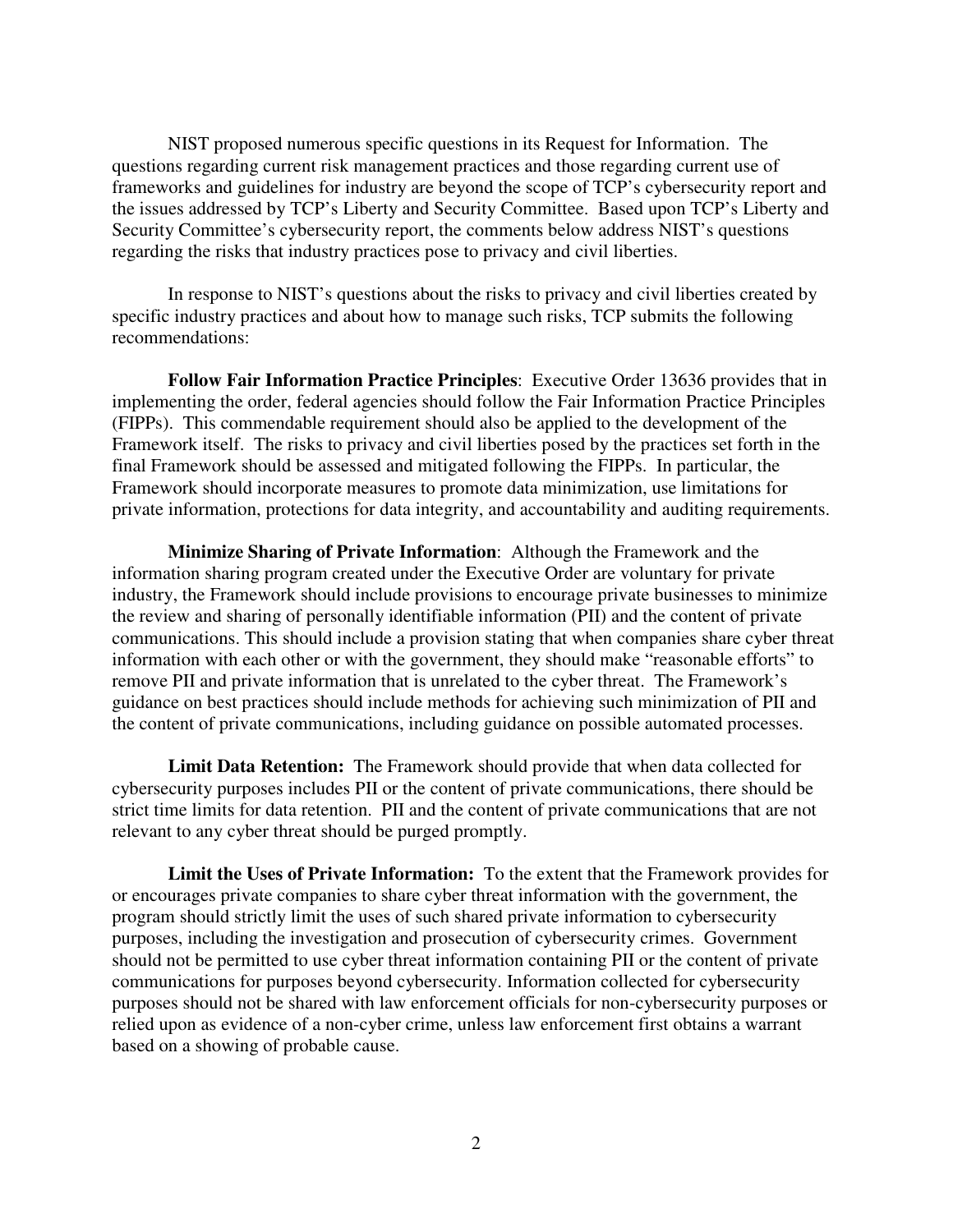questions regarding current risk management practices and those regarding current use of frameworks and guidelines for industry are beyond the scope of TCP's cybersecurity report and the issues addressed by TCP's Liberty and Security Committee. Based upon TCP's Liberty and Security Committee's cybersecurity report, the comments below address NIST's questions regarding the risks that industry practices pose to privacy and civil liberties. NIST proposed numerous specific questions in its Request for Information. The

 specific industry practices and about how to manage such risks, TCP submits the following In response to NIST's questions about the risks to privacy and civil liberties created by recommendations:

 **Follow Fair Information Practice Principles**: Executive Order 13636 provides that in implementing the order, federal agencies should follow the Fair Information Practice Principles (FIPPs). This commendable requirement should also be applied to the development of the Framework itself. The risks to privacy and civil liberties posed by the practices set forth in the final Framework should be assessed and mitigated following the FIPPs. In particular, the Framework should incorporate measures to promote data minimization, use limitations for private information, protections for data integrity, and accountability and auditing requirements.

 **Minimize Sharing of Private Information**: Although the Framework and the information sharing program created under the Executive Order are voluntary for private industry, the Framework should include provisions to encourage private businesses to minimize the review and sharing of personally identifiable information (PII) and the content of private communications. This should include a provision stating that when companies share cyber threat information with each other or with the government, they should make "reasonable efforts" to remove PII and private information that is unrelated to the cyber threat. The Framework's guidance on best practices should include methods for achieving such minimization of PII and the content of private communications, including guidance on possible automated processes.

 **Limit Data Retention:** The Framework should provide that when data collected for cybersecurity purposes includes PII or the content of private communications, there should be strict time limits for data retention. PII and the content of private communications that are not relevant to any cyber threat should be purged promptly.

Limit the Uses of Private Information: To the extent that the Framework provides for or encourages private companies to share cyber threat information with the government, the program should strictly limit the uses of such shared private information to cybersecurity purposes, including the investigation and prosecution of cybersecurity crimes. Government should not be permitted to use cyber threat information containing PII or the content of private communications for purposes beyond cybersecurity. Information collected for cybersecurity purposes should not be shared with law enforcement officials for non-cybersecurity purposes or relied upon as evidence of a non-cyber crime, unless law enforcement first obtains a warrant based on a showing of probable cause.